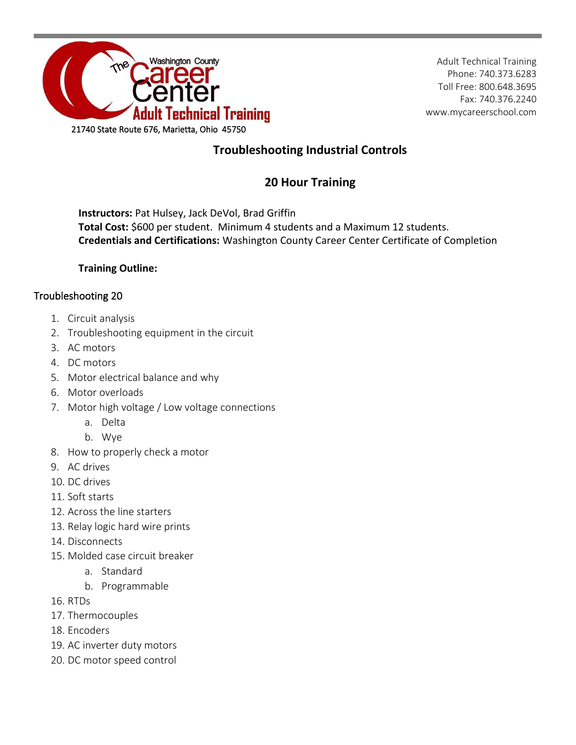

Adult Technical Training Phone: 740.373.6283 Toll Free: 800.648.3695 Fax: 740.376.2240 www.mycareerschool.com

## **Troubleshooting Industrial Controls**

## **20 Hour Training**

**Instructors:** Pat Hulsey, Jack DeVol, Brad Griffin **Total Cost:** \$600 per student. Minimum 4 students and a Maximum 12 students. **Credentials and Certifications:** Washington County Career Center Certificate of Completion

## **Training Outline:**

## Troubleshooting 20

- 1. Circuit analysis
- 2. Troubleshooting equipment in the circuit
- 3. AC motors
- 4. DC motors
- 5. Motor electrical balance and why
- 6. Motor overloads
- 7. Motor high voltage / Low voltage connections
	- a. Delta
	- b. Wye
- 8. How to properly check a motor
- 9. AC drives
- 10. DC drives
- 11. Soft starts
- 12. Across the line starters
- 13. Relay logic hard wire prints
- 14. Disconnects
- 15. Molded case circuit breaker
	- a. Standard
	- b. Programmable
- 16. RTDs
- 17. Thermocouples
- 18. Encoders
- 19. AC inverter duty motors
- 20. DC motor speed control